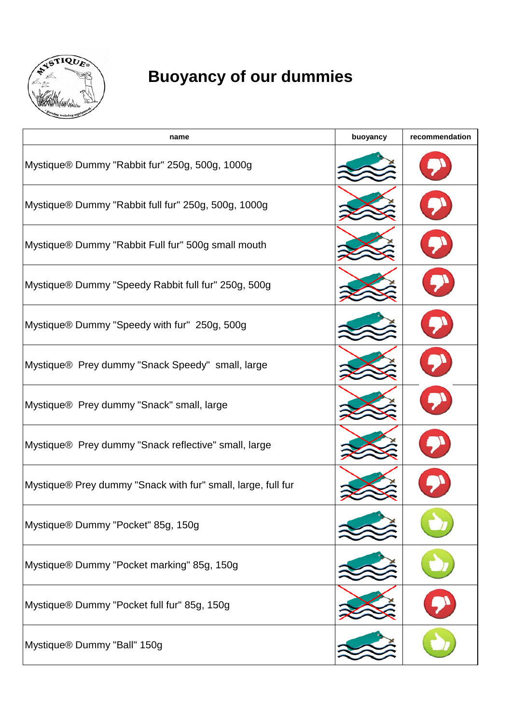

## **Buoyancy of our dummies**

| name                                                             | buoyancy | recommendation |
|------------------------------------------------------------------|----------|----------------|
| Mystique® Dummy "Rabbit fur" 250g, 500g, 1000g                   |          |                |
| Mystique® Dummy "Rabbit full fur" 250g, 500g, 1000g              |          |                |
| Mystique® Dummy "Rabbit Full fur" 500g small mouth               |          |                |
| Mystique® Dummy "Speedy Rabbit full fur" 250g, 500g              |          |                |
| Mystique® Dummy "Speedy with fur" 250g, 500g                     |          |                |
| Mystique® Prey dummy "Snack Speedy" small, large                 |          |                |
| Mystique® Prey dummy "Snack" small, large                        |          |                |
| Mystique <sup>®</sup> Prey dummy "Snack reflective" small, large |          |                |
| Mystique® Prey dummy "Snack with fur" small, large, full fur     |          |                |
| Mystique® Dummy "Pocket" 85g, 150g                               |          |                |
| Mystique® Dummy "Pocket marking" 85g, 150g                       |          |                |
| Mystique® Dummy "Pocket full fur" 85g, 150g                      |          |                |
| Mystique® Dummy "Ball" 150g                                      |          |                |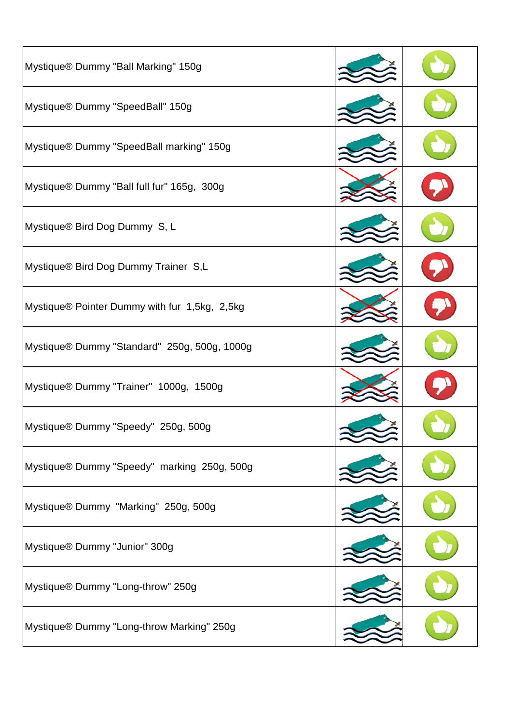| Mystique® Dummy "Ball Marking" 150g           |  |
|-----------------------------------------------|--|
| Mystique® Dummy "SpeedBall" 150g              |  |
| Mystique® Dummy "SpeedBall marking" 150g      |  |
| Mystique® Dummy "Ball full fur" 165g, 300g    |  |
| Mystique® Bird Dog Dummy S, L                 |  |
| Mystique® Bird Dog Dummy Trainer S,L          |  |
| Mystique® Pointer Dummy with fur 1,5kg, 2,5kg |  |
| Mystique® Dummy "Standard" 250g, 500g, 1000g  |  |
| Mystique® Dummy "Trainer" 1000g, 1500g        |  |
| Mystique® Dummy "Speedy" 250g, 500g           |  |
| Mystique® Dummy "Speedy" marking 250g, 500g   |  |
| Mystique® Dummy "Marking" 250g, 500g          |  |
| Mystique® Dummy "Junior" 300g                 |  |
| Mystique® Dummy "Long-throw" 250g             |  |
| Mystique® Dummy "Long-throw Marking" 250g     |  |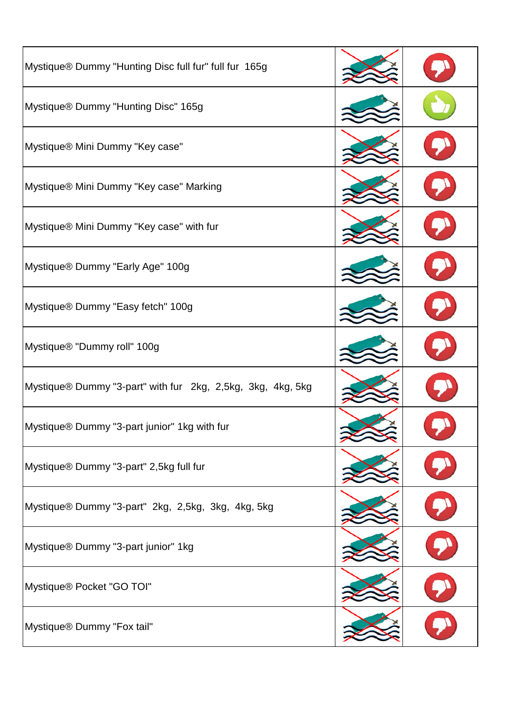| Mystique® Dummy "Hunting Disc full fur" full fur 165g       |  |
|-------------------------------------------------------------|--|
| Mystique® Dummy "Hunting Disc" 165g                         |  |
| Mystique® Mini Dummy "Key case"                             |  |
| Mystique® Mini Dummy "Key case" Marking                     |  |
| Mystique® Mini Dummy "Key case" with fur                    |  |
| Mystique® Dummy "Early Age" 100g                            |  |
| Mystique® Dummy "Easy fetch" 100g                           |  |
| Mystique® "Dummy roll" 100g                                 |  |
| Mystique® Dummy "3-part" with fur 2kg, 2,5kg, 3kg, 4kg, 5kg |  |
| Mystique® Dummy "3-part junior" 1kg with fur                |  |
| Mystique® Dummy "3-part" 2,5kg full fur                     |  |
| Mystique® Dummy "3-part" 2kg, 2,5kg, 3kg, 4kg, 5kg          |  |
| Mystique® Dummy "3-part junior" 1kg                         |  |
| Mystique® Pocket "GO TOI"                                   |  |
| Mystique® Dummy "Fox tail"                                  |  |